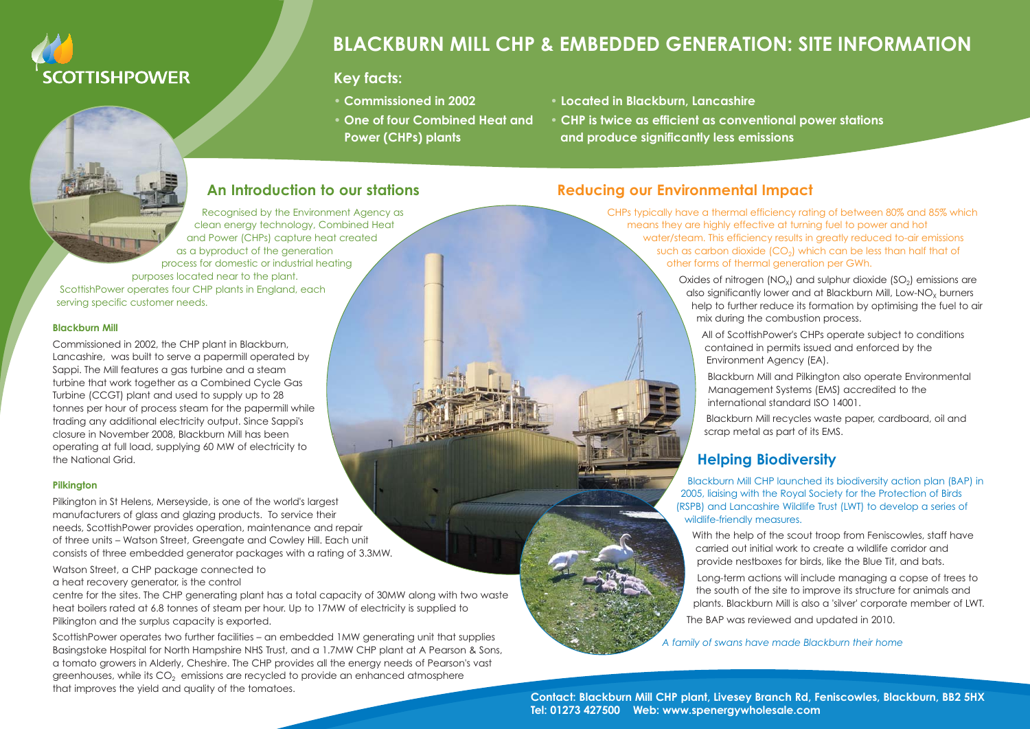

# **BLACKBURN MILL CHP & EMBEDDED GENERATION: SITE INFORMATION**

#### **Key facts:**

- 
- One of four Combined Heat and
- **Commissioned in 2002 • Located in Blackburn, Lancashire**
- **CHP** is twice as efficient as conventional power stations  **Power (CHPs) plants and produce significantly less emissions**

### **An Introduction to our stations**

Recognised by the Environment Agency as clean energy technology, Combined Heat and Power (CHPs) capture heat created as a byproduct of the generation process for domestic or industrial heating purposes located near to the plant. ScottishPower operates four CHP plants in England, each serving specific customer needs.

**Blackburn Mill**

Commissioned in 2002, the CHP plant in Blackburn, Lancashire, was built to serve a papermill operated by Sappi. The Mill features a gas turbine and a steam turbine that work together as a Combined Cycle Gas Turbine (CCGT) plant and used to supply up to 28 tonnes per hour of process steam for the papermill while trading any additional electricity output. Since Sappi's closure in November 2008, Blackburn Mill has been operating at full load, supplying 60 MW of electricity to the National Grid.

#### **Pilkington**

Pilkington in St Helens, Merseyside, is one of the world's largest manufacturers of glass and glazing products. To service their needs, ScottishPower provides operation, maintenance and repair of three units – Watson Street, Greengate and Cowley Hill. Each unit consists of three embedded generator packages with a rating of 3.3MW.

Watson Street, a CHP package connected to a heat recovery generator, is the control

centre for the sites. The CHP generating plant has a total capacity of 30MW along with two waste heat boilers rated at 6.8 tonnes of steam per hour. Up to 17MW of electricity is supplied to Pilkington and the surplus capacity is exported.

ScottishPower operates two further facilities – an embedded 1MW generating unit that supplies Basingstoke Hospital for North Hampshire NHS Trust, and a 1.7MW CHP plant at A Pearson & Sons, a tomato growers in Alderly, Cheshire. The CHP provides all the energy needs of Pearson's vast greenhouses, while its  $CO<sub>2</sub>$  emissions are recycled to provide an enhanced atmosphere that improves the yield and quality of the tomatoes. **Contact: Blackburn Mill CHP plant, Livesey Branch Rd, Feniscowles, Blackburn, BB2 5HX**

### **Reducing our Environmental Impact**

CHPs typically have a thermal efficiency rating of between 80% and 85% which means they are highly effective at turning fuel to power and hot water/steam. This efficiency results in greatly reduced to-air emissions such as carbon dioxide  $(CO<sub>2</sub>)$  which can be less than half that of other forms of thermal generation per GWh.

> Oxides of nitrogen  $(NO_x)$  and sulphur dioxide  $(SO_2)$  emissions are also significantly lower and at Blackburn Mill, Low-NO<sub>x</sub> burners help to further reduce its formation by optimising the fuel to air mix during the combustion process.

All of ScottishPower's CHPs operate subject to conditions contained in permits issued and enforced by the Environment Agency (EA).

Blackburn Mill and Pilkington also operate Environmental Management Systems (EMS) accredited to the international standard ISO 14001.

Blackburn Mill recycles waste paper, cardboard, oil and scrap metal as part of its EMS.

### **Helping Biodiversity**

Blackburn Mill CHP launched its biodiversity action plan (BAP) in 2005, liaising with the Royal Society for the Protection of Birds (RSPB) and Lancashire Wildlife Trust (LWT) to develop a series of wildlife-friendly measures.

With the help of the scout troop from Feniscowles, staff have carried out initial work to create a wildlife corridor and provide nestboxes for birds, like the Blue Tit, and bats.

Long-term actions will include managing a copse of trees to the south of the site to improve its structure for animals and plants. Blackburn Mill is also a 'silver' corporate member of LWT. The BAP was reviewed and updated in 2010.

*A family of swans have made Blackburn their home*

**Tel: 01273 427500 Web: www.spenergywholesale.com**